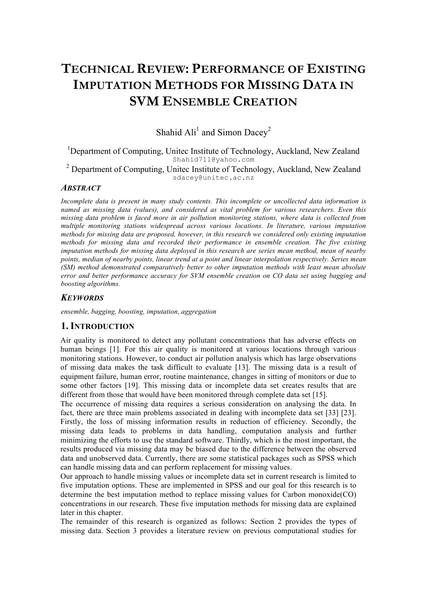# **TECHNICAL REVIEW: PERFORMANCE OF EXISTING IMPUTATION METHODS FOR MISSING DATA IN SVM ENSEMBLE CREATION**

Shahid Ali<sup>1</sup> and Simon Dacey<sup>2</sup>

<sup>1</sup>Department of Computing, Unitec Institute of Technology, Auckland, New Zealand Shahid711@yahoo.com

<sup>2</sup> Department of Computing, Unitec Institute of Technology, Auckland, New Zealand sdacey@unitec.ac.nz

#### *ABSTRACT*

*Incomplete data is present in many study contents. This incomplete or uncollected data information is named as missing data (values), and considered as vital problem for various researchers. Even this missing data problem is faced more in air pollution monitoring stations, where data is collected from multiple monitoring stations widespread across various locations. In literature, various imputation methods for missing data are proposed, however, in this research we considered only existing imputation methods for missing data and recorded their performance in ensemble creation. The five existing imputation methods for missing data deployed in this research are series mean method, mean of nearby points, median of nearby points, linear trend at a point and linear interpolation respectively. Series mean (SM) method demonstrated comparatively better to other imputation methods with least mean absolute error and better performance accuracy for SVM ensemble creation on CO data set using bagging and boosting algorithms.*

#### *KEYWORDS*

*ensemble, bagging, boosting, imputation, aggregation*

#### **1. INTRODUCTION**

Air quality is monitored to detect any pollutant concentrations that has adverse effects on human beings [1]. For this air quality is monitored at various locations through various monitoring stations. However, to conduct air pollution analysis which has large observations of missing data makes the task difficult to evaluate [13]. The missing data is a result of equipment failure, human error, routine maintenance, changes in sitting of monitors or due to some other factors [19]. This missing data or incomplete data set creates results that are different from those that would have been monitored through complete data set [15].

The occurrence of missing data requires a serious consideration on analysing the data. In fact, there are three main problems associated in dealing with incomplete data set [33] [23]. Firstly, the loss of missing information results in reduction of efficiency. Secondly, the missing data leads to problems in data handling, computation analysis and further minimizing the efforts to use the standard software. Thirdly, which is the most important, the results produced via missing data may be biased due to the difference between the observed data and unobserved data. Currently, there are some statistical packages such as SPSS which can handle missing data and can perform replacement for missing values.

Our approach to handle missing values or incomplete data set in current research is limited to five imputation options. These are implemented in SPSS and our goal for this research is to determine the best imputation method to replace missing values for Carbon monoxide(CO) concentrations in our research. These five imputation methods for missing data are explained later in this chapter.

The remainder of this research is organized as follows: Section 2 provides the types of missing data. Section 3 provides a literature review on previous computational studies for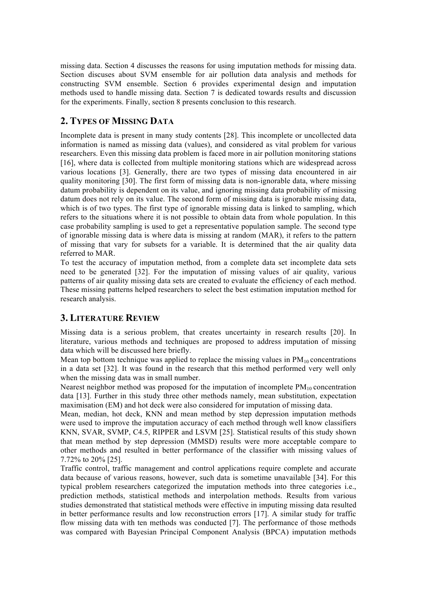missing data. Section 4 discusses the reasons for using imputation methods for missing data. Section discuses about SVM ensemble for air pollution data analysis and methods for constructing SVM ensemble. Section 6 provides experimental design and imputation methods used to handle missing data. Section 7 is dedicated towards results and discussion for the experiments. Finally, section 8 presents conclusion to this research.

# **2. TYPES OF MISSING DATA**

Incomplete data is present in many study contents [28]. This incomplete or uncollected data information is named as missing data (values), and considered as vital problem for various researchers. Even this missing data problem is faced more in air pollution monitoring stations [16], where data is collected from multiple monitoring stations which are widespread across various locations [3]. Generally, there are two types of missing data encountered in air quality monitoring [30]. The first form of missing data is non-ignorable data, where missing datum probability is dependent on its value, and ignoring missing data probability of missing datum does not rely on its value. The second form of missing data is ignorable missing data, which is of two types. The first type of ignorable missing data is linked to sampling, which refers to the situations where it is not possible to obtain data from whole population. In this case probability sampling is used to get a representative population sample. The second type of ignorable missing data is where data is missing at random (MAR), it refers to the pattern of missing that vary for subsets for a variable. It is determined that the air quality data referred to MAR.

To test the accuracy of imputation method, from a complete data set incomplete data sets need to be generated [32]. For the imputation of missing values of air quality, various patterns of air quality missing data sets are created to evaluate the efficiency of each method. These missing patterns helped researchers to select the best estimation imputation method for research analysis.

## **3. LITERATURE REVIEW**

Missing data is a serious problem, that creates uncertainty in research results [20]. In literature, various methods and techniques are proposed to address imputation of missing data which will be discussed here briefly.

Mean top bottom technique was applied to replace the missing values in  $PM_{10}$  concentrations in a data set [32]. It was found in the research that this method performed very well only when the missing data was in small number.

Nearest neighbor method was proposed for the imputation of incomplete  $PM_{10}$  concentration data [13]. Further in this study three other methods namely, mean substitution, expectation maximisation (EM) and hot deck were also considered for imputation of missing data.

Mean, median, hot deck, KNN and mean method by step depression imputation methods were used to improve the imputation accuracy of each method through well know classifiers KNN, SVAR, SVMP, C4.5, RIPPER and LSVM [25]. Statistical results of this study shown that mean method by step depression (MMSD) results were more acceptable compare to other methods and resulted in better performance of the classifier with missing values of 7.72% to 20% [25].

Traffic control, traffic management and control applications require complete and accurate data because of various reasons, however, such data is sometime unavailable [34]. For this typical problem researchers categorized the imputation methods into three categories i.e., prediction methods, statistical methods and interpolation methods. Results from various studies demonstrated that statistical methods were effective in imputing missing data resulted in better performance results and low reconstruction errors [17]. A similar study for traffic flow missing data with ten methods was conducted [7]. The performance of those methods was compared with Bayesian Principal Component Analysis (BPCA) imputation methods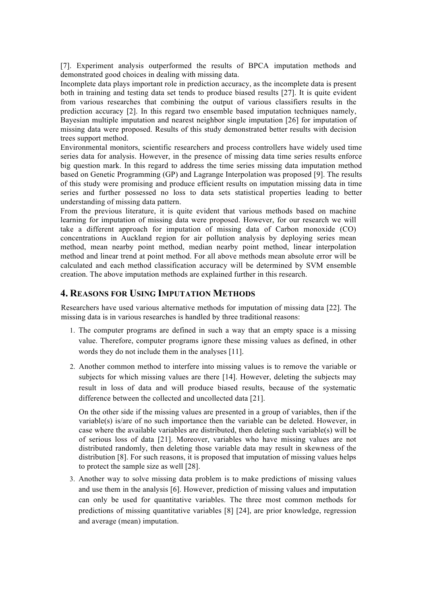[7]. Experiment analysis outperformed the results of BPCA imputation methods and demonstrated good choices in dealing with missing data.

Incomplete data plays important role in prediction accuracy, as the incomplete data is present both in training and testing data set tends to produce biased results [27]. It is quite evident from various researches that combining the output of various classifiers results in the prediction accuracy [2]. In this regard two ensemble based imputation techniques namely, Bayesian multiple imputation and nearest neighbor single imputation [26] for imputation of missing data were proposed. Results of this study demonstrated better results with decision trees support method.

Environmental monitors, scientific researchers and process controllers have widely used time series data for analysis. However, in the presence of missing data time series results enforce big question mark. In this regard to address the time series missing data imputation method based on Genetic Programming (GP) and Lagrange Interpolation was proposed [9]. The results of this study were promising and produce efficient results on imputation missing data in time series and further possessed no loss to data sets statistical properties leading to better understanding of missing data pattern.

From the previous literature, it is quite evident that various methods based on machine learning for imputation of missing data were proposed. However, for our research we will take a different approach for imputation of missing data of Carbon monoxide (CO) concentrations in Auckland region for air pollution analysis by deploying series mean method, mean nearby point method, median nearby point method, linear interpolation method and linear trend at point method. For all above methods mean absolute error will be calculated and each method classification accuracy will be determined by SVM ensemble creation. The above imputation methods are explained further in this research.

## **4. REASONS FOR USING IMPUTATION METHODS**

Researchers have used various alternative methods for imputation of missing data [22]. The missing data is in various researches is handled by three traditional reasons:

- 1. The computer programs are defined in such a way that an empty space is a missing value. Therefore, computer programs ignore these missing values as defined, in other words they do not include them in the analyses [11].
- 2. Another common method to interfere into missing values is to remove the variable or subjects for which missing values are there [14]. However, deleting the subjects may result in loss of data and will produce biased results, because of the systematic difference between the collected and uncollected data [21].

On the other side if the missing values are presented in a group of variables, then if the variable(s) is/are of no such importance then the variable can be deleted. However, in case where the available variables are distributed, then deleting such variable(s) will be of serious loss of data [21]. Moreover, variables who have missing values are not distributed randomly, then deleting those variable data may result in skewness of the distribution [8]. For such reasons, it is proposed that imputation of missing values helps to protect the sample size as well [28].

3. Another way to solve missing data problem is to make predictions of missing values and use them in the analysis [6]. However, prediction of missing values and imputation can only be used for quantitative variables. The three most common methods for predictions of missing quantitative variables [8] [24], are prior knowledge, regression and average (mean) imputation.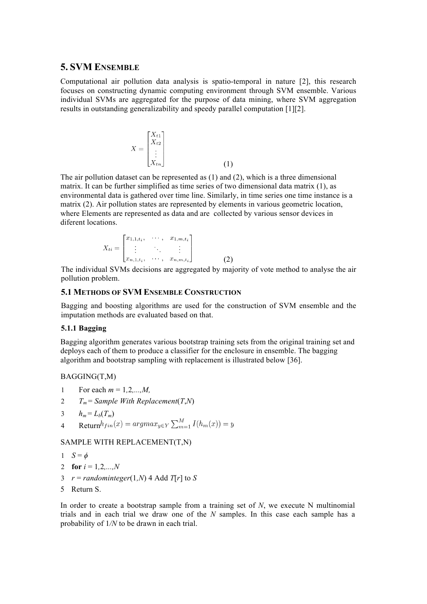## **5. SVM ENSEMBLE**

Computational air pollution data analysis is spatio-temporal in nature [2], this research focuses on constructing dynamic computing environment through SVM ensemble. Various individual SVMs are aggregated for the purpose of data mining, where SVM aggregation results in outstanding generalizability and speedy parallel computation [1][2].

$$
X = \begin{bmatrix} X_{t1} \\ X_{t2} \\ \vdots \\ X_{tn} \end{bmatrix}
$$
 (1)

The air pollution dataset can be represented as (1) and (2), which is a three dimensional matrix. It can be further simplified as time series of two dimensional data matrix (1), as environmental data is gathered over time line. Similarly, in time series one time instance is a matrix (2). Air pollution states are represented by elements in various geometric location, where Elements are represented as data and are collected by various sensor devices in diferent locations.

$$
X_{ti} = \begin{bmatrix} x_{1,1,t_i}, & \cdots, & x_{1,m,t_i} \\ \vdots & & \ddots & \vdots \\ x_{n,1,t_i}, & \cdots, & x_{n,m,t_i} \end{bmatrix}
$$
 (2)

The individual SVMs decisions are aggregated by majority of vote method to analyse the air pollution problem.

#### **5.1 METHODS OF SVM ENSEMBLE CONSTRUCTION**

Bagging and boosting algorithms are used for the construction of SVM ensemble and the imputation methods are evaluated based on that.

#### **5.1.1 Bagging**

Bagging algorithm generates various bootstrap training sets from the original training set and deploys each of them to produce a classifier for the enclosure in ensemble. The bagging algorithm and bootstrap sampling with replacement is illustrated below [36].

#### BAGGING(T,M)

- 1 For each  $m = 1, 2, \ldots, M$
- 2  $T_m =$  *Sample With Replacement*(*T*,*N*)

$$
3 \qquad h_m = L_b(T_m)
$$

4 Return

#### SAMPLE WITH REPLACEMENT(T,N)

$$
1 \quad S = \phi
$$

2 for 
$$
i = 1, 2, ..., N
$$

- 3  $r = \text{randominteger}(1, N)$  4 Add  $T[r]$  to *S*
- 5 Return S.

In order to create a bootstrap sample from a training set of *N*, we execute N multinomial trials and in each trial we draw one of the *N* samples. In this case each sample has a probability of 1*/N* to be drawn in each trial.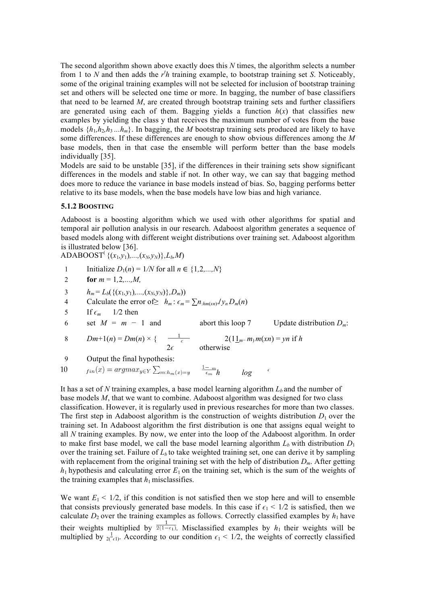The second algorithm shown above exactly does this *N* times, the algorithm selects a number from 1 to  $N$  and then adds the  $r<sup>t</sup>h$  training example, to bootstrap training set  $S$ . Noticeably, some of the original training examples will not be selected for inclusion of bootstrap training set and others will be selected one time or more. In bagging, the number of base classifiers that need to be learned *M*, are created through bootstrap training sets and further classifiers are generated using each of them. Bagging yields a function  $h(x)$  that classifies new examples by yielding the class y that receives the maximum number of votes from the base models  $\{h_1, h_2, h_3, \ldots, h_m\}$ . In bagging, the *M* bootstrap training sets produced are likely to have some differences. If these differences are enough to show obvious differences among the *M*  base models, then in that case the ensemble will perform better than the base models individually [35].

Models are said to be unstable [35], if the differences in their training sets show significant differences in the models and stable if not. In other way, we can say that bagging method does more to reduce the variance in base models instead of bias. So, bagging performs better relative to its base models, when the base models have low bias and high variance.

#### **5.1.2 BOOSTING**

Adaboost is a boosting algorithm which we used with other algorithms for spatial and temporal air pollution analysis in our research. Adaboost algorithm generates a sequence of based models along with different weight distributions over training set. Adaboost algorithm is illustrated below [36].

 $ADABOOST<sup>(</sup> {(x<sub>1</sub>, y<sub>1</sub>),..., (x<sub>N</sub>, y<sub>N</sub>)}$ ,  $L<sub>b</sub>, M$ 

- 1 Initialize  $D_1(n) = 1/N$  for all  $n \in \{1, 2, ..., N\}$
- 2 **for**  $m = 1, 2, ..., M$ ,
- 3  $h_m = L_b({\{(x_1, y_1),..., (x_N, y_N)\}, D_m)})$
- 4 Calculate the error of  $\geq h_m : \epsilon_m = \sum n_{\text{thm}(xn)} \cdot f_{y_n} D_m(n)$
- 5 If  $\epsilon_m$  1/2 then
- 6 set  $M = m 1$  and abort this loop 7 Update distribution  $D_m$ :
- 8 *Dm*+1(*n*) = *Dm*(*n*) × {  $\frac{1}{\epsilon}$  2(1<u>1</u><sub>*m*</sub>− *m*<sub>)</sub> *m*(*xn*) = *yn* if *h*  $2\epsilon$  otherwise
- 9 Output the final hypothesis:

10 
$$
f_{in}(x) = argmax_{y \in Y} \sum_{m:h_m(x) = y} \frac{1 - m}{\epsilon_m} h
$$
  $log \epsilon$ 

It has a set of  $N$  training examples, a base model learning algorithm  $L_b$  and the number of base models *M*, that we want to combine. Adaboost algorithm was designed for two class classification. However, it is regularly used in previous researches for more than two classes. The first step in Adaboost algorithm is the construction of weights distribution  $D_1$  over the training set. In Adaboost algorithm the first distribution is one that assigns equal weight to all *N* training examples. By now, we enter into the loop of the Adaboost algorithm. In order to make first base model, we call the base model learning algorithm  $L<sub>b</sub>$  with distribution  $D<sub>1</sub>$ over the training set. Failure of  $L<sub>b</sub>$  to take weighted training set, one can derive it by sampling with replacement from the original training set with the help of distribution  $D_m$ . After getting  $h_1$  hypothesis and calculating error  $E_1$  on the training set, which is the sum of the weights of the training examples that  $h_1$  misclassifies.

We want  $E_1 < 1/2$ , if this condition is not satisfied then we stop here and will to ensemble that consists previously generated base models. In this case if  $\epsilon_1$  < 1/2 is satisfied, then we calculate  $D_2$  over the training examples as follows. Correctly classified examples by  $h_1$  have their weights multiplied by  $\frac{1}{2(1-\epsilon_1)}$ . Misclassified examples by  $h_1$  their weights will be multiplied by  ${}_{2}(\epsilon)$ . According to our condition  $\epsilon_1$  < 1/2, the weights of correctly classified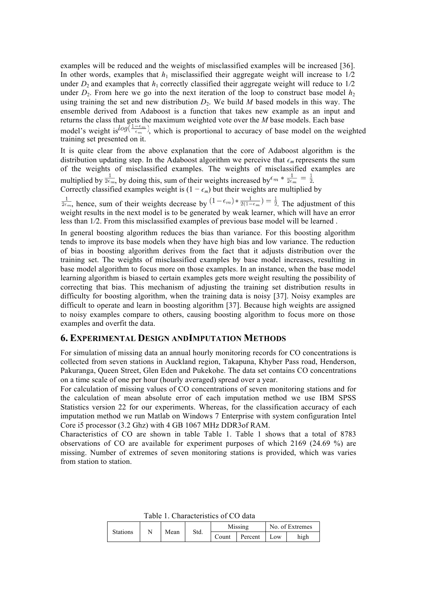examples will be reduced and the weights of misclassified examples will be increased [36]. In other words, examples that  $h_1$  misclassified their aggregate weight will increase to  $1/2$ under  $D_2$  and examples that  $h_1$  correctly classified their aggregate weight will reduce to  $1/2$ under  $D_2$ . From here we go into the next iteration of the loop to construct base model  $h_2$ using training the set and new distribution  $D_2$ . We build *M* based models in this way. The ensemble derived from Adaboost is a function that takes new example as an input and returns the class that gets the maximum weighted vote over the *M* base models. Each base model's weight is  $log(\frac{1-\epsilon_{m}}{\epsilon_{m}})$ , which is proportional to accuracy of base model on the weighted training set presented on it.

It is quite clear from the above explanation that the core of Adaboost algorithm is the distribution updating step. In the Adaboost algorithm we perceive that  $\epsilon_m$  represents the sum of the weights of misclassified examples. The weights of misclassified examples are multiplied by  $\frac{1}{2\epsilon_m}$ , by doing this, sum of their weights increased by  $\epsilon_m * \frac{1}{2\epsilon_m} = \frac{1}{2}$ .

Correctly classified examples weight is  $(1 - \epsilon_m)$  but their weights are multiplied by

 $\frac{1}{2\epsilon_m}$ , hence, sum of their weights decrease by  $(1-\epsilon_m) * \frac{1}{2(1-\epsilon_m)} = \frac{1}{2}$ . The adjustment of this weight results in the next model is to be generated by weak learner, which will have an error less than 1*/*2. From this misclassified examples of previous base model will be learned .

In general boosting algorithm reduces the bias than variance. For this boosting algorithm tends to improve its base models when they have high bias and low variance. The reduction of bias in boosting algorithm derives from the fact that it adjusts distribution over the training set. The weights of misclassified examples by base model increases, resulting in base model algorithm to focus more on those examples. In an instance, when the base model learning algorithm is biased to certain examples gets more weight resulting the possibility of correcting that bias. This mechanism of adjusting the training set distribution results in difficulty for boosting algorithm, when the training data is noisy [37]. Noisy examples are difficult to operate and learn in boosting algorithm [37]. Because high weights are assigned to noisy examples compare to others, causing boosting algorithm to focus more on those examples and overfit the data.

## **6. EXPERIMENTAL DESIGN ANDIMPUTATION METHODS**

For simulation of missing data an annual hourly monitoring records for CO concentrations is collected from seven stations in Auckland region, Takapuna, Khyber Pass road, Henderson, Pakuranga, Queen Street, Glen Eden and Pukekohe. The data set contains CO concentrations on a time scale of one per hour (hourly averaged) spread over a year.

For calculation of missing values of CO concentrations of seven monitoring stations and for the calculation of mean absolute error of each imputation method we use IBM SPSS Statistics version 22 for our experiments. Whereas, for the classification accuracy of each imputation method we run Matlab on Windows 7 Enterprise with system configuration Intel Core i5 processor (3.2 Ghz) with 4 GB 1067 MHz DDR3of RAM.

Characteristics of CO are shown in table Table 1. Table 1 shows that a total of 8783 observations of CO are available for experiment purposes of which 2169 (24.69 %) are missing. Number of extremes of seven monitoring stations is provided, which was varies from station to station.

Stations N Mean Std. Missing No. of Extremes Percent

Table 1. Characteristics of CO data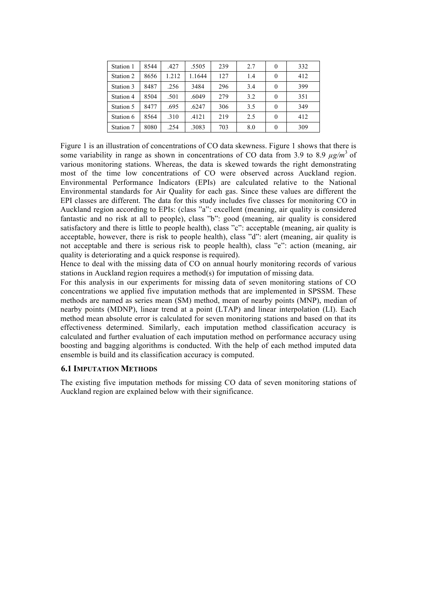| Station 1 | 8544 | .427  | .5505  | 239 | 2.7 | 0 | 332 |
|-----------|------|-------|--------|-----|-----|---|-----|
| Station 2 | 8656 | 1.212 | 1.1644 | 127 | 1.4 | 0 | 412 |
| Station 3 | 8487 | .256  | 3484   | 296 | 3.4 | 0 | 399 |
| Station 4 | 8504 | .501  | .6049  | 279 | 3.2 | 0 | 351 |
| Station 5 | 8477 | .695  | .6247  | 306 | 3.5 | 0 | 349 |
| Station 6 | 8564 | .310  | .4121  | 219 | 2.5 | 0 | 412 |
| Station 7 | 8080 | .254  | .3083  | 703 | 8.0 | 0 | 309 |

Figure 1 is an illustration of concentrations of CO data skewness. Figure 1 shows that there is some variability in range as shown in concentrations of CO data from 3.9 to 8.9  $\mu$ g/m<sup>3</sup> of various monitoring stations. Whereas, the data is skewed towards the right demonstrating most of the time low concentrations of CO were observed across Auckland region. Environmental Performance Indicators (EPIs) are calculated relative to the National Environmental standards for Air Quality for each gas. Since these values are different the EPI classes are different. The data for this study includes five classes for monitoring CO in Auckland region according to EPIs: (class "a": excellent (meaning, air quality is considered fantastic and no risk at all to people), class "b": good (meaning, air quality is considered satisfactory and there is little to people health), class "c": acceptable (meaning, air quality is acceptable, however, there is risk to people health), class "d": alert (meaning, air quality is not acceptable and there is serious risk to people health), class "e": action (meaning, air quality is deteriorating and a quick response is required).

Hence to deal with the missing data of CO on annual hourly monitoring records of various stations in Auckland region requires a method(s) for imputation of missing data.

For this analysis in our experiments for missing data of seven monitoring stations of CO concentrations we applied five imputation methods that are implemented in SPSSM. These methods are named as series mean (SM) method, mean of nearby points (MNP), median of nearby points (MDNP), linear trend at a point (LTAP) and linear interpolation (LI). Each method mean absolute error is calculated for seven monitoring stations and based on that its effectiveness determined. Similarly, each imputation method classification accuracy is calculated and further evaluation of each imputation method on performance accuracy using boosting and bagging algorithms is conducted. With the help of each method imputed data ensemble is build and its classification accuracy is computed.

#### **6.1 IMPUTATION METHODS**

The existing five imputation methods for missing CO data of seven monitoring stations of Auckland region are explained below with their significance.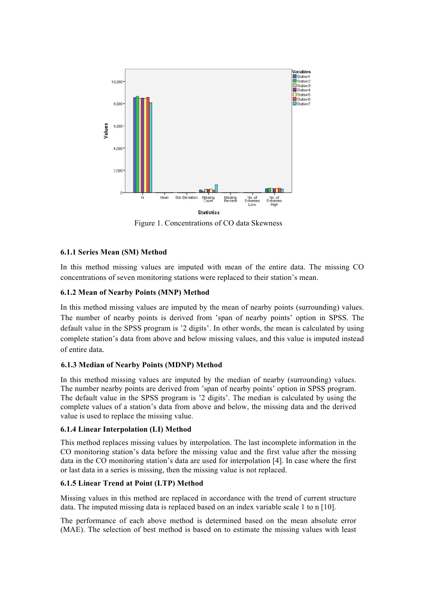

Figure 1. Concentrations of CO data Skewness

## **6.1.1 Series Mean (SM) Method**

In this method missing values are imputed with mean of the entire data. The missing CO concentrations of seven monitoring stations were replaced to their station's mean.

## **6.1.2 Mean of Nearby Points (MNP) Method**

In this method missing values are imputed by the mean of nearby points (surrounding) values. The number of nearby points is derived from 'span of nearby points' option in SPSS. The default value in the SPSS program is '2 digits'. In other words, the mean is calculated by using complete station's data from above and below missing values, and this value is imputed instead of entire data.

## **6.1.3 Median of Nearby Points (MDNP) Method**

In this method missing values are imputed by the median of nearby (surrounding) values. The number nearby points are derived from 'span of nearby points' option in SPSS program. The default value in the SPSS program is '2 digits'. The median is calculated by using the complete values of a station's data from above and below, the missing data and the derived value is used to replace the missing value.

## **6.1.4 Linear Interpolation (LI) Method**

This method replaces missing values by interpolation. The last incomplete information in the CO monitoring station's data before the missing value and the first value after the missing data in the CO monitoring station's data are used for interpolation [4]. In case where the first or last data in a series is missing, then the missing value is not replaced.

## **6.1.5 Linear Trend at Point (LTP) Method**

Missing values in this method are replaced in accordance with the trend of current structure data. The imputed missing data is replaced based on an index variable scale 1 to n [10].

The performance of each above method is determined based on the mean absolute error (MAE). The selection of best method is based on to estimate the missing values with least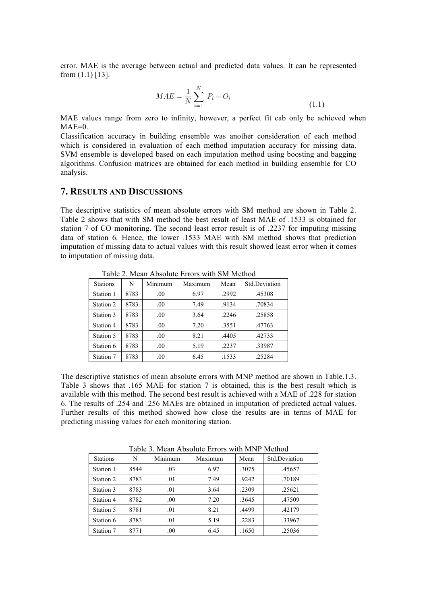error. MAE is the average between actual and predicted data values. It can be represented from  $(1.1)$  [13].

$$
MAE = \frac{1}{N} \sum_{i=1}^{N} |P_i - O_i|
$$
\n(1.1)

MAE values range from zero to infinity, however, a perfect fit cab only be achieved when  $MAE=0.$ 

Classification accuracy in building ensemble was another consideration of each method which is considered in evaluation of each method imputation accuracy for missing data. SVM ensemble is developed based on each imputation method using boosting and bagging algorithms. Confusion matrices are obtained for each method in building ensemble for CO analysis.

## **7. RESULTS AND DISCUSSIONS**

The descriptive statistics of mean absolute errors with SM method are shown in Table 2. Table 2 shows that with SM method the best result of least MAE of *.*1533 is obtained for station 7 of CO monitoring. The second least error result is of .2237 for imputing missing data of station 6*.* Hence, the lower *.*1533 MAE with SM method shows that prediction imputation of missing data to actual values with this result showed least error when it comes to imputation of missing data.

| <b>Stations</b> | N    | Minimum | Maximum | Mean  | Std.Deviation |
|-----------------|------|---------|---------|-------|---------------|
| Station 1       | 8783 | .00.    | 6.97    | .2992 | .45308        |
| Station 2       | 8783 | .00.    | 7.49    | .9134 | .70834        |
| Station 3       | 8783 | .00.    | 3.64    | .2246 | .25858        |
| Station 4       | 8783 | .00.    | 7.20    | .3551 | .47763        |
| Station 5       | 8783 | .00.    | 8.21    | .4405 | .42733        |
| Station 6       | 8783 | .00.    | 5.19    | .2237 | .33987        |
| Station 7       | 8783 | .00.    | 6.45    | .1533 | .25284        |

Table 2. Mean Absolute Errors with SM Method

The descriptive statistics of mean absolute errors with MNP method are shown in Table.1.3. Table 3 shows that .165 MAE for station 7 is obtained, this is the best result which is available with this method. The second best result is achieved with a MAE of .228 for station 6. The results of .254 and .256 MAEs are obtained in imputation of predicted actual values. Further results of this method showed how close the results are in terms of MAE for predicting missing values for each monitoring station.

| $10000$ 2. Mounthouse Enorgy Will Milly Thomas |      |         |         |       |               |  |  |
|------------------------------------------------|------|---------|---------|-------|---------------|--|--|
| <b>Stations</b>                                | N    | Minimum | Maximum | Mean  | Std.Deviation |  |  |
| Station 1                                      | 8544 | .03     | 6.97    | .3075 | .45657        |  |  |
| Station 2                                      | 8783 | .01     | 7.49    | .9242 | .70189        |  |  |
| Station 3                                      | 8783 | .01     | 3.64    | .2309 | .25621        |  |  |
| Station 4                                      | 8782 | .00.    | 7.20    | .3645 | .47509        |  |  |
| Station 5                                      | 8781 | .01     | 8.21    | .4499 | .42179        |  |  |
| Station 6                                      | 8783 | .01     | 5.19    | .2283 | .33967        |  |  |
| Station 7                                      | 8771 | .00.    | 6.45    | .1650 | .25036        |  |  |

Table 3. Mean Absolute Errors with MNP Method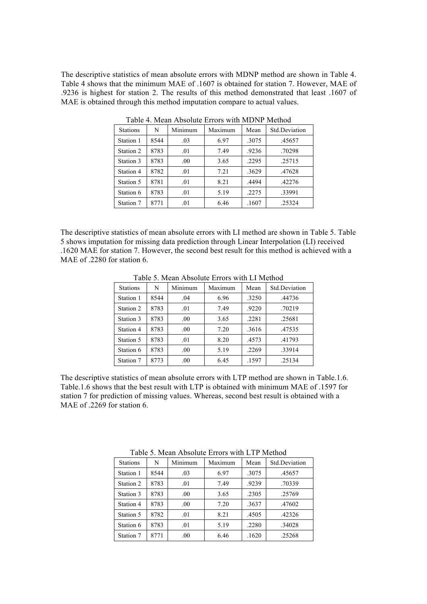The descriptive statistics of mean absolute errors with MDNP method are shown in Table 4. Table 4 shows that the minimum MAE of .1607 is obtained for station 7. However, MAE of .9236 is highest for station 2. The results of this method demonstrated that least .1607 of MAE is obtained through this method imputation compare to actual values.

| <b>Stations</b> | N    | Minimum | Maximum | Mean  | <b>Std Deviation</b> |
|-----------------|------|---------|---------|-------|----------------------|
| Station 1       | 8544 | .03     | 6.97    | .3075 | .45657               |
| Station 2       | 8783 | .01     | 7.49    | .9236 | .70298               |
| Station 3       | 8783 | .00.    | 3.65    | .2295 | .25715               |
| Station 4       | 8782 | .01     | 7.21    | 3629  | .47628               |
| Station 5       | 8781 | .01     | 8.21    | .4494 | .42276               |
| Station 6       | 8783 | .01     | 5.19    | .2275 | .33991               |
| Station 7       | 8771 | .01     | 6.46    | .1607 | .25324               |

Table 4. Mean Absolute Errors with MDNP Method

The descriptive statistics of mean absolute errors with LI method are shown in Table 5. Table 5 shows imputation for missing data prediction through Linear Interpolation (LI) received .1620 MAE for station 7. However, the second best result for this method is achieved with a MAE of .2280 for station 6.

| Table 5. Meall Absolute Efforts with Li Method |      |         |         |       |               |  |  |
|------------------------------------------------|------|---------|---------|-------|---------------|--|--|
| <b>Stations</b>                                | N    | Minimum | Maximum | Mean  | Std.Deviation |  |  |
| Station 1                                      | 8544 | .04     | 6.96    | .3250 | .44736        |  |  |
| Station 2                                      | 8783 | .01     | 7.49    | .9220 | .70219        |  |  |
| Station 3                                      | 8783 | .00.    | 3.65    | .2281 | .25681        |  |  |
| Station 4                                      | 8783 | .00.    | 7.20    | .3616 | .47535        |  |  |
| Station 5                                      | 8783 | .01     | 8.20    | .4573 | .41793        |  |  |
| Station 6                                      | 8783 | .00.    | 5.19    | .2269 | .33914        |  |  |
| Station 7                                      | 8773 | .00.    | 6.45    | .1597 | .25134        |  |  |

Table 5. Mean Absolute Errors with LI Method

The descriptive statistics of mean absolute errors with LTP method are shown in Table.1.6. Table.1.6 shows that the best result with LTP is obtained with minimum MAE of .1597 for station 7 for prediction of missing values. Whereas, second best result is obtained with a MAE of .2269 for station 6.

| <b>Stations</b> | N    | Minimum | Maximum | Mean  | Std.Deviation |
|-----------------|------|---------|---------|-------|---------------|
| Station 1       | 8544 | .03     | 6.97    | .3075 | .45657        |
| Station 2       | 8783 | .01     | 7.49    | .9239 | .70339        |
| Station 3       | 8783 | .00.    | 3.65    | .2305 | .25769        |
| Station 4       | 8783 | .00.    | 7.20    | .3637 | .47602        |
| Station 5       | 8782 | .01     | 8.21    | .4505 | .42326        |
| Station 6       | 8783 | .01     | 5.19    | .2280 | .34028        |
| Station 7       | 8771 | .00     | 6.46    | .1620 | .25268        |

Table 5. Mean Absolute Errors with LTP Method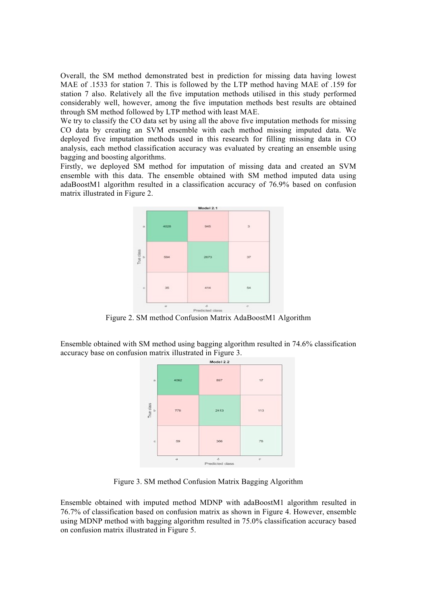Overall, the SM method demonstrated best in prediction for missing data having lowest MAE of .1533 for station 7. This is followed by the LTP method having MAE of .159 for station 7 also. Relatively all the five imputation methods utilised in this study performed considerably well, however, among the five imputation methods best results are obtained through SM method followed by LTP method with least MAE.

We try to classify the CO data set by using all the above five imputation methods for missing CO data by creating an SVM ensemble with each method missing imputed data. We deployed five imputation methods used in this research for filling missing data in CO analysis, each method classification accuracy was evaluated by creating an ensemble using bagging and boosting algorithms.

Firstly, we deployed SM method for imputation of missing data and created an SVM ensemble with this data. The ensemble obtained with SM method imputed data using adaBoostM1 algorithm resulted in a classification accuracy of 76.9% based on confusion matrix illustrated in Figure 2.



Figure 2. SM method Confusion Matrix AdaBoostM1 Algorithm

Ensemble obtained with SM method using bagging algorithm resulted in 74.6% classification accuracy base on confusion matrix illustrated in Figure 3.



Figure 3. SM method Confusion Matrix Bagging Algorithm

Ensemble obtained with imputed method MDNP with adaBoostM1 algorithm resulted in 76.7% of classification based on confusion matrix as shown in Figure 4. However, ensemble using MDNP method with bagging algorithm resulted in 75.0% classification accuracy based on confusion matrix illustrated in Figure 5.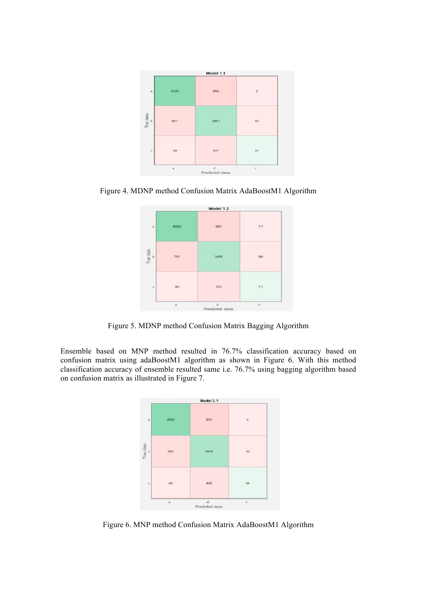

Figure 4. MDNP method Confusion Matrix AdaBoostM1 Algorithm



Figure 5. MDNP method Confusion Matrix Bagging Algorithm

Ensemble based on MNP method resulted in 76.7% classification accuracy based on confusion matrix using adaBoostM1 algorithm as shown in Figure 6. With this method classification accuracy of ensemble resulted same i.e. 76.7% using bagging algorithm based on confusion matrix as illustrated in Figure 7.



Figure 6. MNP method Confusion Matrix AdaBoostM1 Algorithm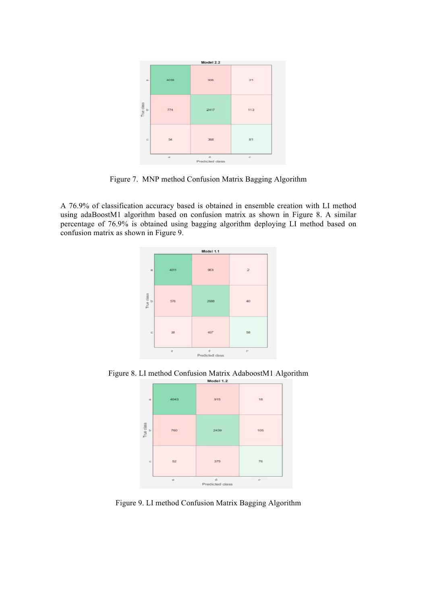

Figure 7. MNP method Confusion Matrix Bagging Algorithm

A 76.9% of classification accuracy based is obtained in ensemble creation with LI method using adaBoostM1 algorithm based on confusion matrix as shown in Figure 8. A similar percentage of 76.9% is obtained using bagging algorithm deploying LI method based on confusion matrix as shown in Figure 9.



Figure 8. LI method Confusion Matrix AdaboostM1 Algorithm



Figure 9. LI method Confusion Matrix Bagging Algorithm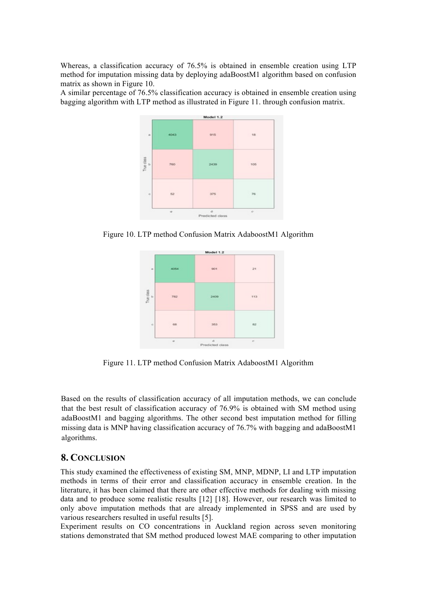Whereas, a classification accuracy of 76.5% is obtained in ensemble creation using LTP method for imputation missing data by deploying adaBoostM1 algorithm based on confusion matrix as shown in Figure 10.

A similar percentage of 76.5% classification accuracy is obtained in ensemble creation using bagging algorithm with LTP method as illustrated in Figure 11. through confusion matrix.



Figure 10. LTP method Confusion Matrix AdaboostM1 Algorithm



Figure 11. LTP method Confusion Matrix AdaboostM1 Algorithm

Based on the results of classification accuracy of all imputation methods, we can conclude that the best result of classification accuracy of 76.9% is obtained with SM method using adaBoostM1 and bagging algorithms. The other second best imputation method for filling missing data is MNP having classification accuracy of 76.7% with bagging and adaBoostM1 algorithms.

## **8. CONCLUSION**

This study examined the effectiveness of existing SM, MNP, MDNP, LI and LTP imputation methods in terms of their error and classification accuracy in ensemble creation. In the literature, it has been claimed that there are other effective methods for dealing with missing data and to produce some realistic results [12] [18]. However, our research was limited to only above imputation methods that are already implemented in SPSS and are used by various researchers resulted in useful results [5].

Experiment results on CO concentrations in Auckland region across seven monitoring stations demonstrated that SM method produced lowest MAE comparing to other imputation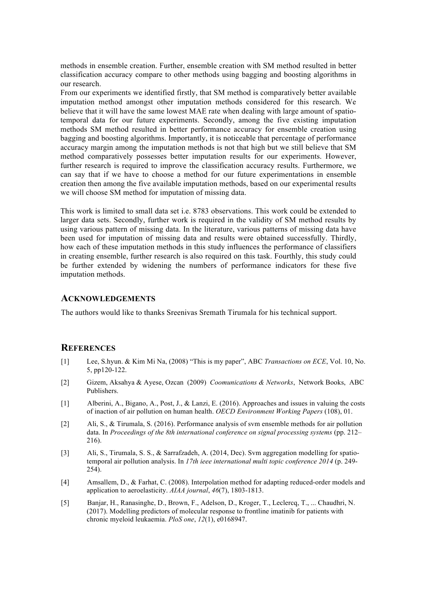methods in ensemble creation. Further, ensemble creation with SM method resulted in better classification accuracy compare to other methods using bagging and boosting algorithms in our research.

From our experiments we identified firstly, that SM method is comparatively better available imputation method amongst other imputation methods considered for this research. We believe that it will have the same lowest MAE rate when dealing with large amount of spatiotemporal data for our future experiments. Secondly, among the five existing imputation methods SM method resulted in better performance accuracy for ensemble creation using bagging and boosting algorithms. Importantly, it is noticeable that percentage of performance accuracy margin among the imputation methods is not that high but we still believe that SM method comparatively possesses better imputation results for our experiments. However, further research is required to improve the classification accuracy results. Furthermore, we can say that if we have to choose a method for our future experimentations in ensemble creation then among the five available imputation methods, based on our experimental results we will choose SM method for imputation of missing data.

This work is limited to small data set i.e. 8783 observations. This work could be extended to larger data sets. Secondly, further work is required in the validity of SM method results by using various pattern of missing data. In the literature, various patterns of missing data have been used for imputation of missing data and results were obtained successfully. Thirdly, how each of these imputation methods in this study influences the performance of classifiers in creating ensemble, further research is also required on this task. Fourthly, this study could be further extended by widening the numbers of performance indicators for these five imputation methods.

## **ACKNOWLEDGEMENTS**

The authors would like to thanks Sreenivas Sremath Tirumala for his technical support.

#### **REFERENCES**

- [1] Lee, S.hyun. & Kim Mi Na, (2008) "This is my paper", ABC *Transactions on ECE*, Vol. 10, No. 5, pp120-122.
- [2] Gizem, Aksahya & Ayese, Ozcan (2009) *Coomunications & Networks*, Network Books, ABC Publishers.
- [1] Alberini, A., Bigano, A., Post, J., & Lanzi, E. (2016). Approaches and issues in valuing the costs of inaction of air pollution on human health. *OECD Environment Working Papers* (108), 01.
- [2] Ali, S., & Tirumala, S. (2016). Performance analysis of svm ensemble methods for air pollution data. In *Proceedings of the 8th international conference on signal processing systems* (pp. 212– 216).
- [3] Ali, S., Tirumala, S. S., & Sarrafzadeh, A. (2014, Dec). Svm aggregation modelling for spatiotemporal air pollution analysis. In *17th ieee international multi topic conference 2014* (p. 249-  $254$ ).
- [4] Amsallem, D., & Farhat, C. (2008). Interpolation method for adapting reduced-order models and application to aeroelasticity. *AIAA journal*, *46*(7), 1803-1813.
- [5] Banjar, H., Ranasinghe, D., Brown, F., Adelson, D., Kroger, T., Leclercq, T., ... Chaudhri, N. (2017). Modelling predictors of molecular response to frontline imatinib for patients with chronic myeloid leukaemia. *PloS one*, *12*(1), e0168947.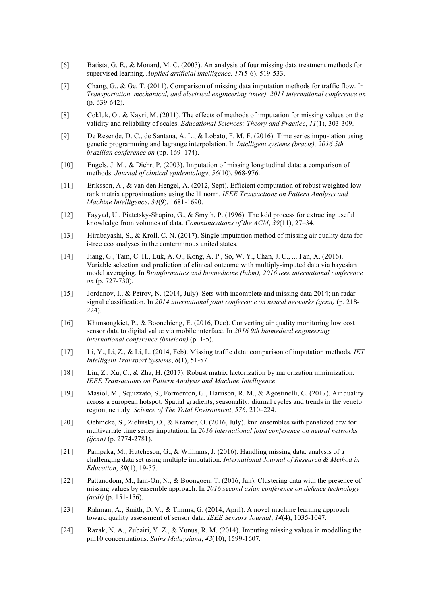- [6] Batista, G. E., & Monard, M. C. (2003). An analysis of four missing data treatment methods for supervised learning. *Applied artificial intelligence*, *17*(5-6), 519-533.
- [7] Chang, G., & Ge, T. (2011). Comparison of missing data imputation methods for traffic flow. In *Transportation, mechanical, and electrical engineering (tmee), 2011 international conference on*  (p. 639-642).
- [8] Cokluk, O., & Kayri, M. (2011). The effects of methods of imputation for missing values on the validity and reliability of scales. *Educational Sciences: Theory and Practice*, *11*(1), 303-309.
- [9] De Resende, D. C., de Santana, A. L., & Lobato, F. M. F. (2016). Time series impu-tation using genetic programming and lagrange interpolation. In *Intelligent systems (bracis), 2016 5th brazilian conference on* (pp. 169–174).
- [10] Engels, J. M., & Diehr, P. (2003). Imputation of missing longitudinal data: a comparison of methods. *Journal of clinical epidemiology*, *56*(10), 968-976.
- [11] Eriksson, A., & van den Hengel, A. (2012, Sept). Efficient computation of robust weighted lowrank matrix approximations using the l1 norm. *IEEE Transactions on Pattern Analysis and Machine Intelligence*, *34*(9), 1681-1690.
- [12] Fayyad, U., Piatetsky-Shapiro, G., & Smyth, P. (1996). The kdd process for extracting useful knowledge from volumes of data. *Communications of the ACM*, *39*(11), 27–34.
- [13] Hirabayashi, S., & Kroll, C. N. (2017). Single imputation method of missing air quality data for i-tree eco analyses in the conterminous united states.
- [14] Jiang, G., Tam, C. H., Luk, A. O., Kong, A. P., So, W. Y., Chan, J. C., ... Fan, X. (2016). Variable selection and prediction of clinical outcome with multiply-imputed data via bayesian model averaging. In *Bioinformatics and biomedicine (bibm), 2016 ieee international conference on* (p. 727-730).
- [15] Jordanov, I., & Petrov, N. (2014, July). Sets with incomplete and missing data 2014; nn radar signal classification. In 2014 international joint conference on neural networks (ijcnn) (p. 218-224).
- [16] Khunsongkiet, P., & Boonchieng, E. (2016, Dec). Converting air quality monitoring low cost sensor data to digital value via mobile interface. In *2016 9th biomedical engineering international conference (bmeicon)* (p. 1-5).
- [17] Li, Y., Li, Z., & Li, L. (2014, Feb). Missing traffic data: comparison of imputation methods. *IET Intelligent Transport Systems*, *8*(1), 51-57.
- [18] Lin, Z., Xu, C., & Zha, H. (2017). Robust matrix factorization by majorization minimization. *IEEE Transactions on Pattern Analysis and Machine Intelligence*.
- [19] Masiol, M., Squizzato, S., Formenton, G., Harrison, R. M., & Agostinelli, C. (2017). Air quality across a european hotspot: Spatial gradients, seasonality, diurnal cycles and trends in the veneto region, ne italy. *Science of The Total Environment*, *576*, 210–224.
- [20] Oehmcke, S., Zielinski, O., & Kramer, O. (2016, July). knn ensembles with penalized dtw for multivariate time series imputation. In *2016 international joint conference on neural networks (ijcnn)* (p. 2774-2781).
- [21] Pampaka, M., Hutcheson, G., & Williams, J. (2016). Handling missing data: analysis of a challenging data set using multiple imputation. *International Journal of Research & Method in Education*, *39*(1), 19-37.
- [22] Pattanodom, M., Iam-On, N., & Boongoen, T. (2016, Jan). Clustering data with the presence of missing values by ensemble approach. In *2016 second asian conference on defence technology (acdt)* (p. 151-156).
- [23] Rahman, A., Smith, D. V., & Timms, G. (2014, April). A novel machine learning approach toward quality assessment of sensor data. *IEEE Sensors Journal*, *14*(4), 1035-1047.
- [24] Razak, N. A., Zubairi, Y. Z., & Yunus, R. M. (2014). Imputing missing values in modelling the pm10 concentrations. *Sains Malaysiana*, *43*(10), 1599-1607.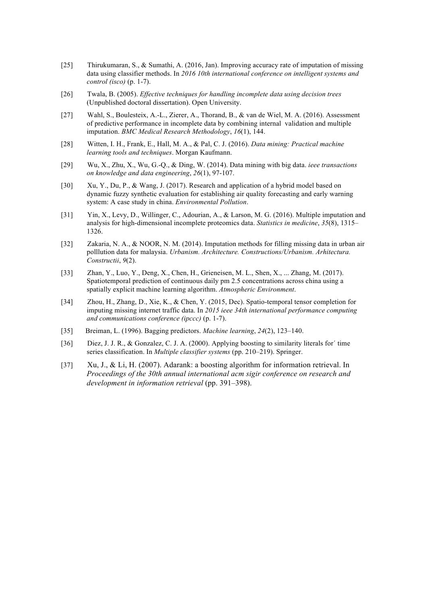- [25] Thirukumaran, S., & Sumathi, A. (2016, Jan). Improving accuracy rate of imputation of missing data using classifier methods. In *2016 10th international conference on intelligent systems and control (isco)* (p. 1-7).
- [26] Twala, B. (2005). *Effective techniques for handling incomplete data using decision trees*  (Unpublished doctoral dissertation). Open University.
- [27] Wahl, S., Boulesteix, A.-L., Zierer, A., Thorand, B., & van de Wiel, M. A. (2016). Assessment of predictive performance in incomplete data by combining internal validation and multiple imputation. *BMC Medical Research Methodology*, *16*(1), 144.
- [28] Witten, I. H., Frank, E., Hall, M. A., & Pal, C. J. (2016). *Data mining: Practical machine learning tools and techniques*. Morgan Kaufmann.
- [29] Wu, X., Zhu, X., Wu, G.-Q., & Ding, W. (2014). Data mining with big data. *ieee transactions on knowledge and data engineering*, *26*(1), 97-107.
- [30] Xu, Y., Du, P., & Wang, J. (2017). Research and application of a hybrid model based on dynamic fuzzy synthetic evaluation for establishing air quality forecasting and early warning system: A case study in china. *Environmental Pollution*.
- [31] Yin, X., Levy, D., Willinger, C., Adourian, A., & Larson, M. G. (2016). Multiple imputation and analysis for high-dimensional incomplete proteomics data. *Statistics in medicine*, *35*(8), 1315– 1326.
- [32] Zakaria, N. A., & NOOR, N. M. (2014). Imputation methods for filling missing data in urban air polllution data for malaysia. *Urbanism. Architecture. Constructions/Urbanism. Arhitectura. Constructii*, *9*(2).
- [33] Zhan, Y., Luo, Y., Deng, X., Chen, H., Grieneisen, M. L., Shen, X., ... Zhang, M. (2017). Spatiotemporal prediction of continuous daily pm 2.5 concentrations across china using a spatially explicit machine learning algorithm. *Atmospheric Environment*.
- [34] Zhou, H., Zhang, D., Xie, K., & Chen, Y. (2015, Dec). Spatio-temporal tensor completion for imputing missing internet traffic data. In *2015 ieee 34th international performance computing and communications conference (ipccc)* (p. 1-7).
- [35] Breiman, L. (1996). Bagging predictors. *Machine learning*, *24*(2), 123–140.
- [36] Diez, J. J. R., & Gonzalez, C. J. A. (2000). Applying boosting to similarity literals for' time series classification. In *Multiple classifier systems* (pp. 210–219). Springer.
- [37] Xu, J., & Li, H. (2007). Adarank: a boosting algorithm for information retrieval. In *Proceedings of the 30th annual international acm sigir conference on research and development in information retrieval* (pp. 391–398).